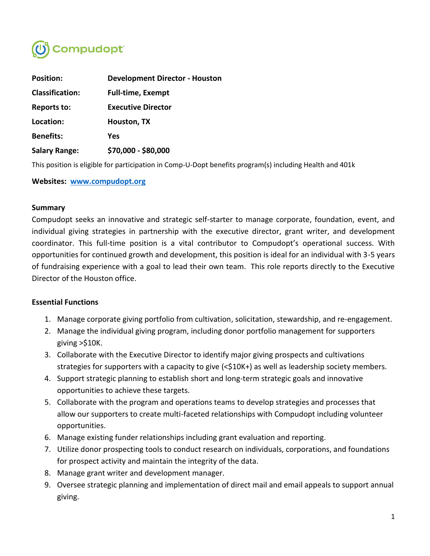

| <b>Position:</b>       | <b>Development Director - Houston</b> |
|------------------------|---------------------------------------|
| <b>Classification:</b> | <b>Full-time, Exempt</b>              |
| <b>Reports to:</b>     | <b>Executive Director</b>             |
| Location:              | Houston, TX                           |
| <b>Benefits:</b>       | Yes                                   |
| <b>Salary Range:</b>   | \$70,000 - \$80,000                   |

This position is eligible for participation in Comp-U-Dopt benefits program(s) including Health and 401k

### **Websites: [www.compudopt.org](http://www.compudopt.org/)**

### **Summary**

Compudopt seeks an innovative and strategic self-starter to manage corporate, foundation, event, and individual giving strategies in partnership with the executive director, grant writer, and development coordinator. This full-time position is a vital contributor to Compudopt's operational success. With opportunities for continued growth and development, this position is ideal for an individual with 3-5 years of fundraising experience with a goal to lead their own team. This role reports directly to the Executive Director of the Houston office.

## **Essential Functions**

- 1. Manage corporate giving portfolio from cultivation, solicitation, stewardship, and re-engagement.
- 2. Manage the individual giving program, including donor portfolio management for supporters giving >\$10K.
- 3. Collaborate with the Executive Director to identify major giving prospects and cultivations strategies for supporters with a capacity to give (<\$10K+) as well as leadership society members.
- 4. Support strategic planning to establish short and long-term strategic goals and innovative opportunities to achieve these targets.
- 5. Collaborate with the program and operations teams to develop strategies and processes that allow our supporters to create multi-faceted relationships with Compudopt including volunteer opportunities.
- 6. Manage existing funder relationships including grant evaluation and reporting.
- 7. Utilize donor prospecting tools to conduct research on individuals, corporations, and foundations for prospect activity and maintain the integrity of the data.
- 8. Manage grant writer and development manager.
- 9. Oversee strategic planning and implementation of direct mail and email appeals to support annual giving.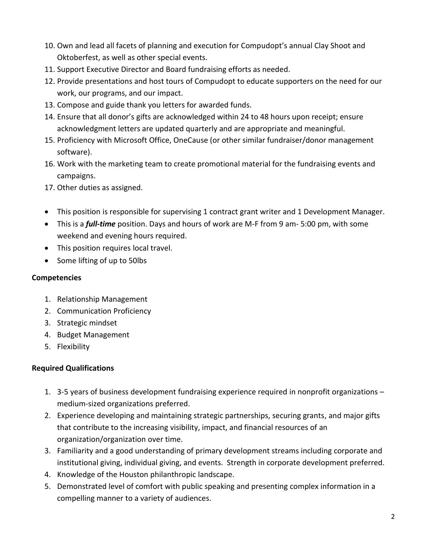- 10. Own and lead all facets of planning and execution for Compudopt's annual Clay Shoot and Oktoberfest, as well as other special events.
- 11. Support Executive Director and Board fundraising efforts as needed.
- 12. Provide presentations and host tours of Compudopt to educate supporters on the need for our work, our programs, and our impact.
- 13. Compose and guide thank you letters for awarded funds.
- 14. Ensure that all donor's gifts are acknowledged within 24 to 48 hours upon receipt; ensure acknowledgment letters are updated quarterly and are appropriate and meaningful.
- 15. Proficiency with Microsoft Office, OneCause (or other similar fundraiser/donor management software).
- 16. Work with the marketing team to create promotional material for the fundraising events and campaigns.
- 17. Other duties as assigned.
- This position is responsible for supervising 1 contract grant writer and 1 Development Manager.
- This is a *full-time* position. Days and hours of work are M-F from 9 am- 5:00 pm, with some weekend and evening hours required.
- This position requires local travel.
- Some lifting of up to 50lbs

# **Competencies**

- 1. Relationship Management
- 2. Communication Proficiency
- 3. Strategic mindset
- 4. Budget Management
- 5. Flexibility

# **Required Qualifications**

- 1. 3-5 years of business development fundraising experience required in nonprofit organizations medium-sized organizations preferred.
- 2. Experience developing and maintaining strategic partnerships, securing grants, and major gifts that contribute to the increasing visibility, impact, and financial resources of an organization/organization over time.
- 3. Familiarity and a good understanding of primary development streams including corporate and institutional giving, individual giving, and events. Strength in corporate development preferred.
- 4. Knowledge of the Houston philanthropic landscape.
- 5. Demonstrated level of comfort with public speaking and presenting complex information in a compelling manner to a variety of audiences.